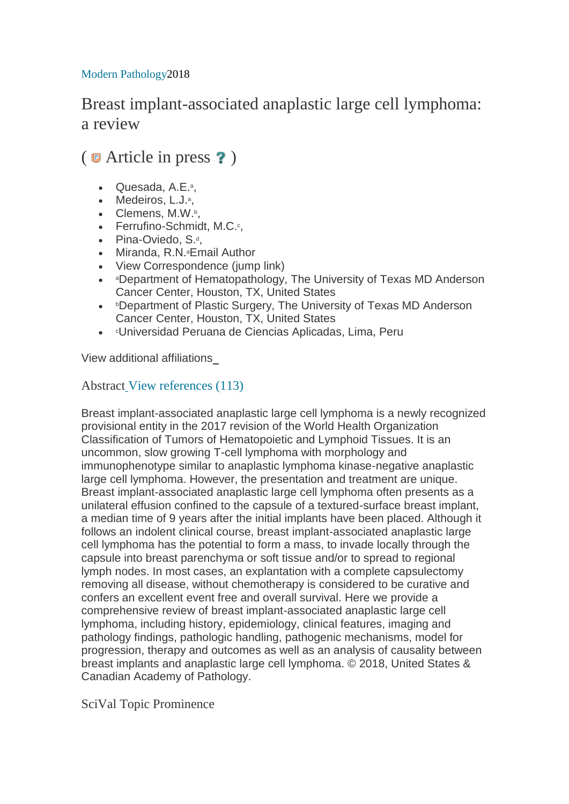## Modern [Pathology2](https://www.scopus.com/sourceid/19082?origin=recordpage)018

## Breast implant-associated anaplastic large cell lymphoma: a review

## $(\Box$  Article in press ?)

- [Quesada, A.E.](https://www.scopus.com/authid/detail.uri?authorId=55780428000&eid=2-s2.0-85053500104)<sup>a</sup>,
- [Medeiros, L.J.](https://www.scopus.com/authid/detail.uri?authorId=57202964491&eid=2-s2.0-85053500104)<sup>a</sup>,
- [Clemens, M.W.](https://www.scopus.com/authid/detail.uri?authorId=15062242100&eid=2-s2.0-85053500104)b,
- [Ferrufino-Schmidt, M.C.](https://www.scopus.com/authid/detail.uri?authorId=57193449133&eid=2-s2.0-85053500104)<sup>c</sup>,
- [Pina-Oviedo, S.](https://www.scopus.com/authid/detail.uri?authorId=12446433500&eid=2-s2.0-85053500104)<sup>d</sup>,
- [Miranda, R.N.](https://www.scopus.com/authid/detail.uri?authorId=57202965058&eid=2-s2.0-85053500104)<sup>a</sup>Email [Author](mailto:Roberto.miranda@mdanderson.org)
- View [Correspondence](https://www.scopus.com/record/display.uri?eid=2-s2.0-85053500104&doi=10.1038%2fs41379-018-0134-3&origin=inward&txGid=be5a34e3aed0fe95c02d3424534f829f#corrAuthorFooter) (jump link)
- aDepartment of Hematopathology, The University of Texas MD Anderson Cancer Center, Houston, TX, United States
- *b***Department of Plastic Surgery, The University of Texas MD Anderson** Cancer Center, Houston, TX, United States
- CUniversidad Peruana de Ciencias Aplicadas, Lima, Peru

[View additional affiliations](https://www.scopus.com/record/display.uri?eid=2-s2.0-85053500104&doi=10.1038%2fs41379-018-0134-3&origin=inward&txGid=be5a34e3aed0fe95c02d3424534f829f) 

## Abstract [View references \(113\)](https://www.scopus.com/record/display.uri?eid=2-s2.0-85053500104&doi=10.1038%2fs41379-018-0134-3&origin=inward&txGid=be5a34e3aed0fe95c02d3424534f829f#references)

Breast implant-associated anaplastic large cell lymphoma is a newly recognized provisional entity in the 2017 revision of the World Health Organization Classification of Tumors of Hematopoietic and Lymphoid Tissues. It is an uncommon, slow growing T-cell lymphoma with morphology and immunophenotype similar to anaplastic lymphoma kinase-negative anaplastic large cell lymphoma. However, the presentation and treatment are unique. Breast implant-associated anaplastic large cell lymphoma often presents as a unilateral effusion confined to the capsule of a textured-surface breast implant, a median time of 9 years after the initial implants have been placed. Although it follows an indolent clinical course, breast implant-associated anaplastic large cell lymphoma has the potential to form a mass, to invade locally through the capsule into breast parenchyma or soft tissue and/or to spread to regional lymph nodes. In most cases, an explantation with a complete capsulectomy removing all disease, without chemotherapy is considered to be curative and confers an excellent event free and overall survival. Here we provide a comprehensive review of breast implant-associated anaplastic large cell lymphoma, including history, epidemiology, clinical features, imaging and pathology findings, pathologic handling, pathogenic mechanisms, model for progression, therapy and outcomes as well as an analysis of causality between breast implants and anaplastic large cell lymphoma. © 2018, United States & Canadian Academy of Pathology.

SciVal Topic Prominence